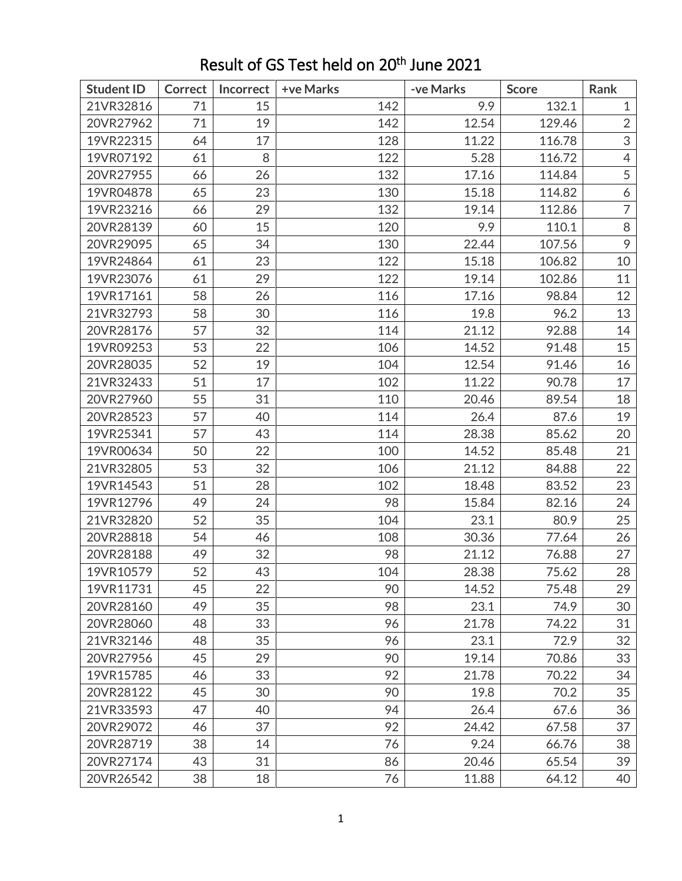| <b>Student ID</b> | Correct | Incorrect | +ve Marks | -ve Marks | <b>Score</b> | Rank           |
|-------------------|---------|-----------|-----------|-----------|--------------|----------------|
| 21VR32816         | 71      | 15        | 142       | 9.9       | 132.1        | $\mathbf{1}$   |
| 20VR27962         | 71      | 19        | 142       | 12.54     | 129.46       | $\overline{2}$ |
| 19VR22315         | 64      | 17        | 128       | 11.22     | 116.78       | 3              |
| 19VR07192         | 61      | 8         | 122       | 5.28      | 116.72       | $\overline{4}$ |
| 20VR27955         | 66      | 26        | 132       | 17.16     | 114.84       | 5              |
| 19VR04878         | 65      | 23        | 130       | 15.18     | 114.82       | 6              |
| 19VR23216         | 66      | 29        | 132       | 19.14     | 112.86       | $\overline{7}$ |
| 20VR28139         | 60      | 15        | 120       | 9.9       | 110.1        | $\,8\,$        |
| 20VR29095         | 65      | 34        | 130       | 22.44     | 107.56       | 9              |
| 19VR24864         | 61      | 23        | 122       | 15.18     | 106.82       | 10             |
| 19VR23076         | 61      | 29        | 122       | 19.14     | 102.86       | 11             |
| 19VR17161         | 58      | 26        | 116       | 17.16     | 98.84        | 12             |
| 21VR32793         | 58      | 30        | 116       | 19.8      | 96.2         | 13             |
| 20VR28176         | 57      | 32        | 114       | 21.12     | 92.88        | 14             |
| 19VR09253         | 53      | 22        | 106       | 14.52     | 91.48        | 15             |
| 20VR28035         | 52      | 19        | 104       | 12.54     | 91.46        | 16             |
| 21VR32433         | 51      | 17        | 102       | 11.22     | 90.78        | 17             |
| 20VR27960         | 55      | 31        | 110       | 20.46     | 89.54        | 18             |
| 20VR28523         | 57      | 40        | 114       | 26.4      | 87.6         | 19             |
| 19VR25341         | 57      | 43        | 114       | 28.38     | 85.62        | 20             |
| 19VR00634         | 50      | 22        | 100       | 14.52     | 85.48        | 21             |
| 21VR32805         | 53      | 32        | 106       | 21.12     | 84.88        | 22             |
| 19VR14543         | 51      | 28        | 102       | 18.48     | 83.52        | 23             |
| 19VR12796         | 49      | 24        | 98        | 15.84     | 82.16        | 24             |
| 21VR32820         | 52      | 35        | 104       | 23.1      | 80.9         | 25             |
| 20VR28818         | 54      | 46        | 108       | 30.36     | 77.64        | 26             |
| 20VR28188         | 49      | 32        | 98        | 21.12     | 76.88        | 27             |
| 19VR10579         | 52      | 43        | 104       | 28.38     | 75.62        | 28             |
| 19VR11731         | 45      | 22        | 90        | 14.52     | 75.48        | 29             |
| 20VR28160         | 49      | 35        | 98        | 23.1      | 74.9         | 30             |
| 20VR28060         | 48      | 33        | 96        | 21.78     | 74.22        | 31             |
| 21VR32146         | 48      | 35        | 96        | 23.1      | 72.9         | 32             |
| 20VR27956         | 45      | 29        | 90        | 19.14     | 70.86        | 33             |
| 19VR15785         | 46      | 33        | 92        | 21.78     | 70.22        | 34             |
| 20VR28122         | 45      | 30        | 90        | 19.8      | 70.2         | 35             |
| 21VR33593         | 47      | 40        | 94        | 26.4      | 67.6         | 36             |
| 20VR29072         | 46      | 37        | 92        | 24.42     | 67.58        | 37             |
| 20VR28719         | 38      | 14        | 76        | 9.24      | 66.76        | 38             |
| 20VR27174         | 43      | 31        | 86        | 20.46     | 65.54        | 39             |
| 20VR26542         | 38      | 18        | 76        | 11.88     | 64.12        | 40             |

## Result of GS Test held on 20<sup>th</sup> June 2021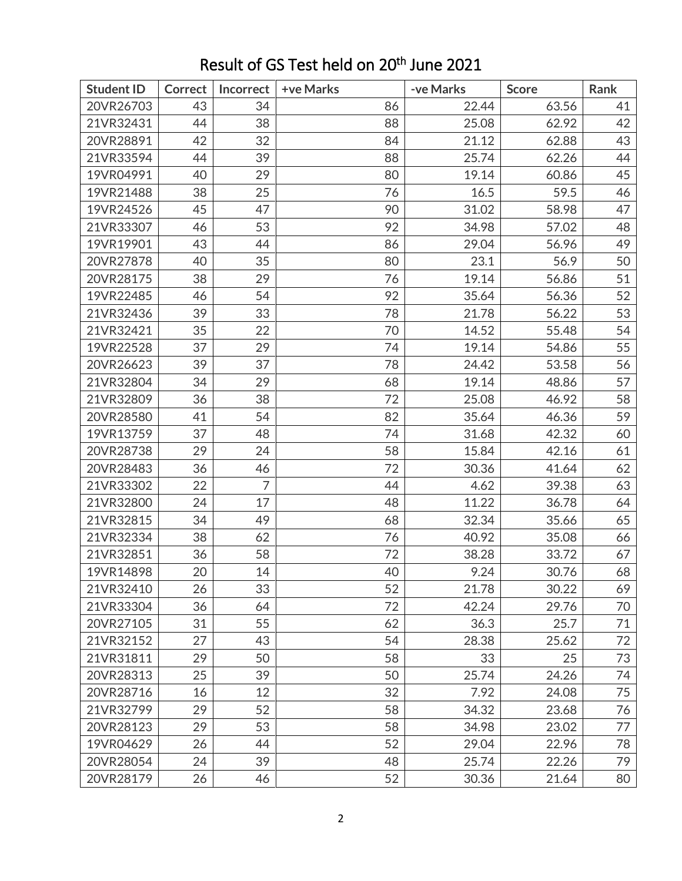| <b>Student ID</b> | <b>Correct</b> | Incorrect      | +ve Marks | -ve Marks | <b>Score</b> | Rank |
|-------------------|----------------|----------------|-----------|-----------|--------------|------|
| 20VR26703         | 43             | 34             | 86        | 22.44     | 63.56        | 41   |
| 21VR32431         | 44             | 38             | 88        | 25.08     | 62.92        | 42   |
| 20VR28891         | 42             | 32             | 84        | 21.12     | 62.88        | 43   |
| 21VR33594         | 44             | 39             | 88        | 25.74     | 62.26        | 44   |
| 19VR04991         | 40             | 29             | 80        | 19.14     | 60.86        | 45   |
| 19VR21488         | 38             | 25             | 76        | 16.5      | 59.5         | 46   |
| 19VR24526         | 45             | 47             | 90        | 31.02     | 58.98        | 47   |
| 21VR33307         | 46             | 53             | 92        | 34.98     | 57.02        | 48   |
| 19VR19901         | 43             | 44             | 86        | 29.04     | 56.96        | 49   |
| 20VR27878         | 40             | 35             | 80        | 23.1      | 56.9         | 50   |
| 20VR28175         | 38             | 29             | 76        | 19.14     | 56.86        | 51   |
| 19VR22485         | 46             | 54             | 92        | 35.64     | 56.36        | 52   |
| 21VR32436         | 39             | 33             | 78        | 21.78     | 56.22        | 53   |
| 21VR32421         | 35             | 22             | 70        | 14.52     | 55.48        | 54   |
| 19VR22528         | 37             | 29             | 74        | 19.14     | 54.86        | 55   |
| 20VR26623         | 39             | 37             | 78        | 24.42     | 53.58        | 56   |
| 21VR32804         | 34             | 29             | 68        | 19.14     | 48.86        | 57   |
| 21VR32809         | 36             | 38             | 72        | 25.08     | 46.92        | 58   |
| 20VR28580         | 41             | 54             | 82        | 35.64     | 46.36        | 59   |
| 19VR13759         | 37             | 48             | 74        | 31.68     | 42.32        | 60   |
| 20VR28738         | 29             | 24             | 58        | 15.84     | 42.16        | 61   |
| 20VR28483         | 36             | 46             | 72        | 30.36     | 41.64        | 62   |
| 21VR33302         | 22             | $\overline{7}$ | 44        | 4.62      | 39.38        | 63   |
| 21VR32800         | 24             | 17             | 48        | 11.22     | 36.78        | 64   |
| 21VR32815         | 34             | 49             | 68        | 32.34     | 35.66        | 65   |
| 21VR32334         | 38             | 62             | 76        | 40.92     | 35.08        | 66   |
| 21VR32851         | 36             | 58             | 72        | 38.28     | 33.72        | 67   |
| 19VR14898         | 20             | 14             | 40        | 9.24      | 30.76        | 68   |
| 21VR32410         | 26             | 33             | 52        | 21.78     | 30.22        | 69   |
| 21VR33304         | 36             | 64             | 72        | 42.24     | 29.76        | 70   |
| 20VR27105         | 31             | 55             | 62        | 36.3      | 25.7         | 71   |
| 21VR32152         | 27             | 43             | 54        | 28.38     | 25.62        | 72   |
| 21VR31811         | 29             | 50             | 58        | 33        | 25           | 73   |
| 20VR28313         | 25             | 39             | 50        | 25.74     | 24.26        | 74   |
| 20VR28716         | 16             | 12             | 32        | 7.92      | 24.08        | 75   |
| 21VR32799         | 29             | 52             | 58        | 34.32     | 23.68        | 76   |
| 20VR28123         | 29             | 53             | 58        | 34.98     | 23.02        | 77   |
| 19VR04629         | 26             | 44             | 52        | 29.04     | 22.96        | 78   |
| 20VR28054         | 24             | 39             | 48        | 25.74     | 22.26        | 79   |
| 20VR28179         | 26             | 46             | 52        | 30.36     | 21.64        | 80   |

## Result of GS Test held on 20<sup>th</sup> June 2021